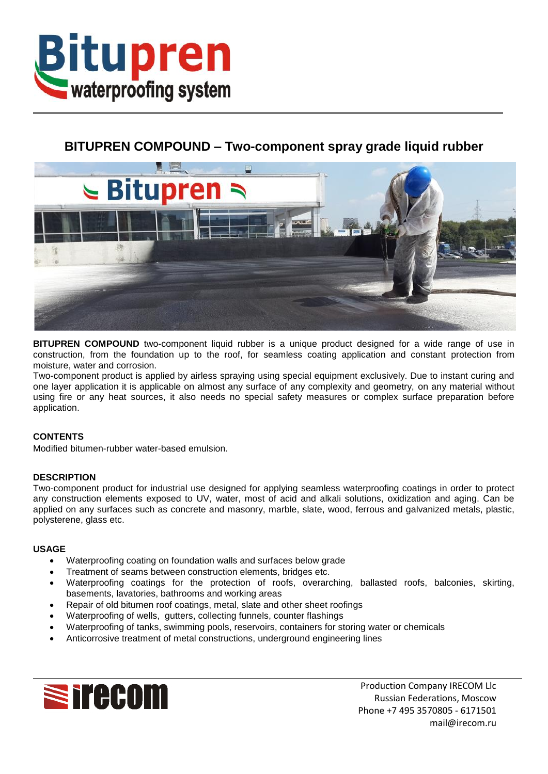

# **BITUPREN COMPOUND – Two-component spray grade liquid rubber**



**BITUPREN COMPOUND** two-component liquid rubber is a unique product designed for a wide range of use in construction, from the foundation up to the roof, for seamless coating application and constant protection from moisture, water and corrosion.

Two-component product is applied by airless spraying using special equipment exclusively. Due to instant curing and one layer application it is applicable on almost any surface of any complexity and geometry, on any material without using fire or any heat sources, it also needs no special safety measures or complex surface preparation before application.

## **CONTENTS**

Modified bitumen-rubber water-based emulsion.

## **DESCRIPTION**

Two-component product for industrial use designed for applying seamless waterproofing coatings in order to protect any construction elements exposed to UV, water, most of acid and alkali solutions, oxidization and aging. Can be applied on any surfaces such as concrete and masonry, marble, slate, wood, ferrous and galvanized metals, plastic, polysterene, glass etc.

## **USAGE**

- Waterproofing coating on foundation walls and surfaces below grade
- Treatment of seams between construction elements, bridges etc.
- Waterproofing coatings for the protection of roofs, overarching, ballasted roofs, balconies, skirting, basements, lavatories, bathrooms and working areas
- Repair of old bitumen roof coatings, metal, slate and other sheet roofings
- Waterproofing of wells, gutters, collecting funnels, counter flashings
- Waterproofing of tanks, swimming pools, reservoirs, containers for storing water or chemicals
- Anticorrosive treatment of metal constructions, underground engineering lines



Production Company IRECOM Llc Russian Federations, Moscow Phone +7 495 3570805 - 6171501 mail@irecom.ru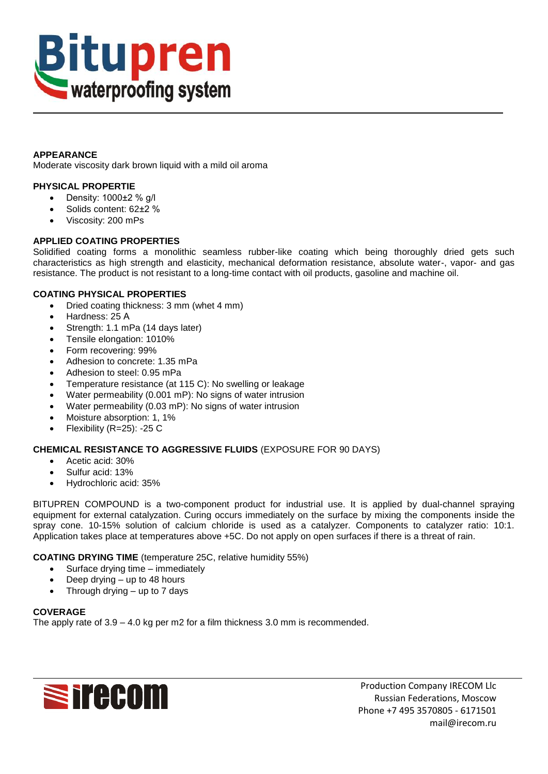

## **APPEARANCE**

Moderate viscosity dark brown liquid with a mild oil aroma

## **PHYSICAL PROPERTIE**

- $\bullet$  Density: 1000 $\pm$ 2 % g/l
- Solids content: 62±2 %
- Viscosity: 200 mPs

## **APPLIED COATING PROPERTIES**

Solidified coating forms a monolithic seamless rubber-like coating which being thoroughly dried gets such characteristics as high strength and elasticity, mechanical deformation resistance, absolute water-, vapor- and gas resistance. The product is not resistant to a long-time contact with oil products, gasoline and machine oil.

## **COATING PHYSICAL PROPERTIES**

- Dried coating thickness: 3 mm (whet 4 mm)
- Hardness: 25 А
- Strength: 1.1 mPa (14 days later)
- Tensile elongation: 1010%
- Form recovering: 99%
- Adhesion to concrete: 1.35 mPa
- Adhesion to steel: 0.95 mPa
- Temperature resistance (at 115 C): No swelling or leakage
- Water permeability (0.001 mP): No signs of water intrusion
- Water permeability (0.03 mP): No signs of water intrusion
- Moisture absorption: 1, 1%
- Flexibility (R=25): -25 C

## **CHEMICAL RESISTANCE TO AGGRESSIVE FLUIDS** (EXPOSURE FOR 90 DAYS)

- Acetic acid: 30%
- Sulfur acid: 13%
- Hydrochloric acid: 35%

BITUPREN COMPOUND is a two-component product for industrial use. It is applied by dual-channel spraying equipment for external catalyzation. Curing occurs immediately on the surface by mixing the components inside the spray cone. 10-15% solution of calcium chloride is used as a catalyzer. Components to catalyzer ratio: 10:1. Application takes place at temperatures above +5C. Do not apply on open surfaces if there is a threat of rain.

## **COATING DRYING TIME** (temperature 25C, relative humidity 55%)

- Surface drying time immediately
- Deep drying up to 48 hours
- Through drying  $-$  up to 7 days

## **COVERAGE**

The apply rate of 3.9 – 4.0 kg per m2 for a film thickness 3.0 mm is recommended.



Production Company IRECOM Llc Russian Federations, Moscow Phone +7 495 3570805 - 6171501 mail@irecom.ru